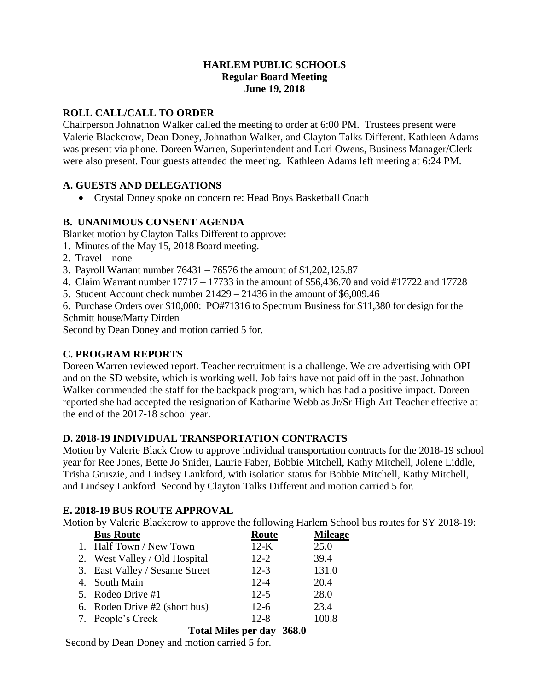### **HARLEM PUBLIC SCHOOLS Regular Board Meeting June 19, 2018**

## **ROLL CALL/CALL TO ORDER**

Chairperson Johnathon Walker called the meeting to order at 6:00 PM. Trustees present were Valerie Blackcrow, Dean Doney, Johnathan Walker, and Clayton Talks Different. Kathleen Adams was present via phone. Doreen Warren, Superintendent and Lori Owens, Business Manager/Clerk were also present. Four guests attended the meeting. Kathleen Adams left meeting at 6:24 PM.

# **A. GUESTS AND DELEGATIONS**

• Crystal Doney spoke on concern re: Head Boys Basketball Coach

# **B. UNANIMOUS CONSENT AGENDA**

Blanket motion by Clayton Talks Different to approve:

- 1. Minutes of the May 15, 2018 Board meeting.
- 2. Travel none
- 3. Payroll Warrant number 76431 76576 the amount of \$1,202,125.87
- 4. Claim Warrant number 17717 17733 in the amount of \$56,436.70 and void #17722 and 17728
- 5. Student Account check number 21429 21436 in the amount of \$6,009.46

6. Purchase Orders over \$10,000: PO#71316 to Spectrum Business for \$11,380 for design for the Schmitt house/Marty Dirden

Second by Dean Doney and motion carried 5 for.

# **C. PROGRAM REPORTS**

Doreen Warren reviewed report. Teacher recruitment is a challenge. We are advertising with OPI and on the SD website, which is working well. Job fairs have not paid off in the past. Johnathon Walker commended the staff for the backpack program, which has had a positive impact. Doreen reported she had accepted the resignation of Katharine Webb as Jr/Sr High Art Teacher effective at the end of the 2017-18 school year.

## **D. 2018-19 INDIVIDUAL TRANSPORTATION CONTRACTS**

Motion by Valerie Black Crow to approve individual transportation contracts for the 2018-19 school year for Ree Jones, Bette Jo Snider, Laurie Faber, Bobbie Mitchell, Kathy Mitchell, Jolene Liddle, Trisha Gruszie, and Lindsey Lankford, with isolation status for Bobbie Mitchell, Kathy Mitchell, and Lindsey Lankford. Second by Clayton Talks Different and motion carried 5 for.

## **E. 2018-19 BUS ROUTE APPROVAL**

Motion by Valerie Blackcrow to approve the following Harlem School bus routes for SY 2018-19:

| <b>Bus Route</b>               | <b>Route</b> | <b>Mileage</b> |
|--------------------------------|--------------|----------------|
| 1. Half Town / New Town        | $12-K$       | 25.0           |
| 2. West Valley / Old Hospital  | $12 - 2$     | 39.4           |
| 3. East Valley / Sesame Street | $12-3$       | 131.0          |
| 4. South Main                  | $12 - 4$     | 20.4           |
| 5. Rodeo Drive #1              | $12 - 5$     | 28.0           |
| 6. Rodeo Drive #2 (short bus)  | $12-6$       | 23.4           |
| 7. People's Creek              | $12 - 8$     | 100.8          |
| . <i>.</i> .                   |              |                |

**Total Miles per day 368.0**

Second by Dean Doney and motion carried 5 for.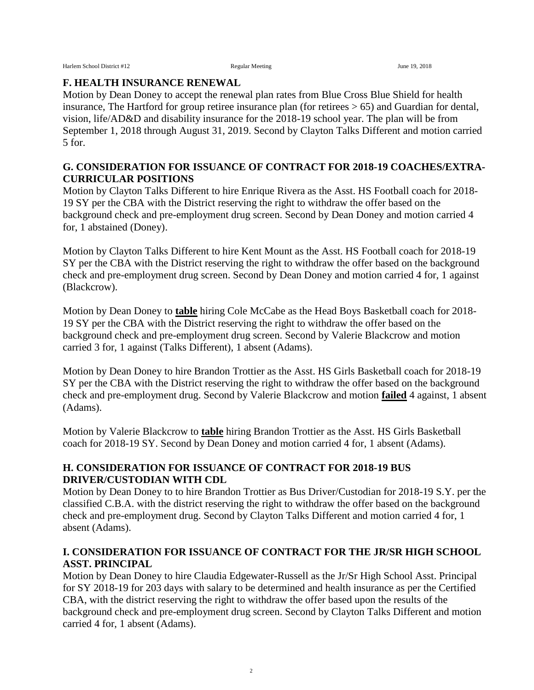#### **F. HEALTH INSURANCE RENEWAL**

Motion by Dean Doney to accept the renewal plan rates from Blue Cross Blue Shield for health insurance, The Hartford for group retiree insurance plan (for retirees > 65) and Guardian for dental, vision, life/AD&D and disability insurance for the 2018-19 school year. The plan will be from September 1, 2018 through August 31, 2019. Second by Clayton Talks Different and motion carried 5 for.

### **G. CONSIDERATION FOR ISSUANCE OF CONTRACT FOR 2018-19 COACHES/EXTRA-CURRICULAR POSITIONS**

Motion by Clayton Talks Different to hire Enrique Rivera as the Asst. HS Football coach for 2018- 19 SY per the CBA with the District reserving the right to withdraw the offer based on the background check and pre-employment drug screen. Second by Dean Doney and motion carried 4 for, 1 abstained (Doney).

Motion by Clayton Talks Different to hire Kent Mount as the Asst. HS Football coach for 2018-19 SY per the CBA with the District reserving the right to withdraw the offer based on the background check and pre-employment drug screen. Second by Dean Doney and motion carried 4 for, 1 against (Blackcrow).

Motion by Dean Doney to **table** hiring Cole McCabe as the Head Boys Basketball coach for 2018- 19 SY per the CBA with the District reserving the right to withdraw the offer based on the background check and pre-employment drug screen. Second by Valerie Blackcrow and motion carried 3 for, 1 against (Talks Different), 1 absent (Adams).

Motion by Dean Doney to hire Brandon Trottier as the Asst. HS Girls Basketball coach for 2018-19 SY per the CBA with the District reserving the right to withdraw the offer based on the background check and pre-employment drug. Second by Valerie Blackcrow and motion **failed** 4 against, 1 absent (Adams).

Motion by Valerie Blackcrow to **table** hiring Brandon Trottier as the Asst. HS Girls Basketball coach for 2018-19 SY. Second by Dean Doney and motion carried 4 for, 1 absent (Adams).

## **H. CONSIDERATION FOR ISSUANCE OF CONTRACT FOR 2018-19 BUS DRIVER/CUSTODIAN WITH CDL**

Motion by Dean Doney to to hire Brandon Trottier as Bus Driver/Custodian for 2018-19 S.Y. per the classified C.B.A. with the district reserving the right to withdraw the offer based on the background check and pre-employment drug. Second by Clayton Talks Different and motion carried 4 for, 1 absent (Adams).

## **I. CONSIDERATION FOR ISSUANCE OF CONTRACT FOR THE JR/SR HIGH SCHOOL ASST. PRINCIPAL**

Motion by Dean Doney to hire Claudia Edgewater-Russell as the Jr/Sr High School Asst. Principal for SY 2018-19 for 203 days with salary to be determined and health insurance as per the Certified CBA, with the district reserving the right to withdraw the offer based upon the results of the background check and pre-employment drug screen. Second by Clayton Talks Different and motion carried 4 for, 1 absent (Adams).